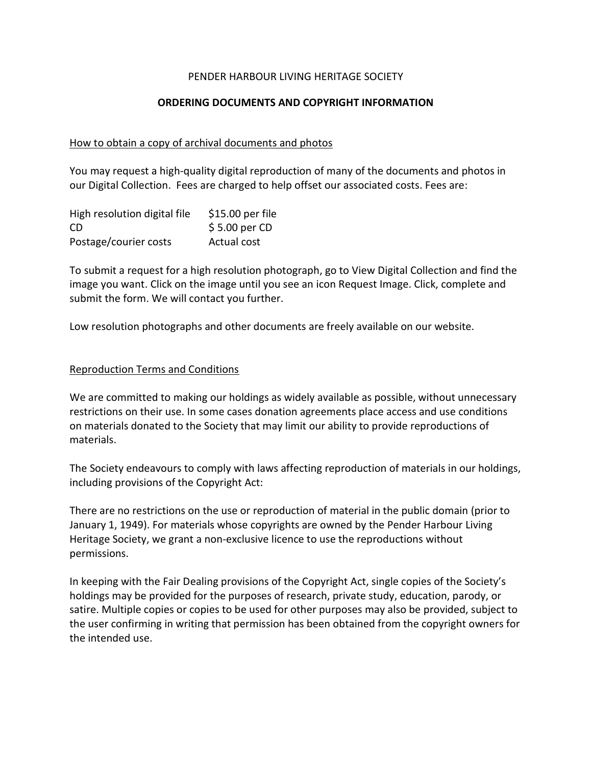## PENDER HARBOUR LIVING HERITAGE SOCIETY

## ORDERING DOCUMENTS AND COPYRIGHT INFORMATION

# How to obtain a copy of archival documents and photos

You may request a high-quality digital reproduction of many of the documents and photos in our Digital Collection. Fees are charged to help offset our associated costs. Fees are:

| High resolution digital file | \$15.00 per file |
|------------------------------|------------------|
| CD.                          | $$5.00$ per CD   |
| Postage/courier costs        | Actual cost      |

To submit a request for a high resolution photograph, go to View Digital Collection and find the image you want. Click on the image until you see an icon Request Image. Click, complete and submit the form. We will contact you further.

Low resolution photographs and other documents are freely available on our website.

### Reproduction Terms and Conditions

We are committed to making our holdings as widely available as possible, without unnecessary restrictions on their use. In some cases donation agreements place access and use conditions on materials donated to the Society that may limit our ability to provide reproductions of materials.

The Society endeavours to comply with laws affecting reproduction of materials in our holdings, including provisions of the Copyright Act:

There are no restrictions on the use or reproduction of material in the public domain (prior to January 1, 1949). For materials whose copyrights are owned by the Pender Harbour Living Heritage Society, we grant a non-exclusive licence to use the reproductions without permissions.

In keeping with the Fair Dealing provisions of the Copyright Act, single copies of the Society's holdings may be provided for the purposes of research, private study, education, parody, or satire. Multiple copies or copies to be used for other purposes may also be provided, subject to the user confirming in writing that permission has been obtained from the copyright owners for the intended use.